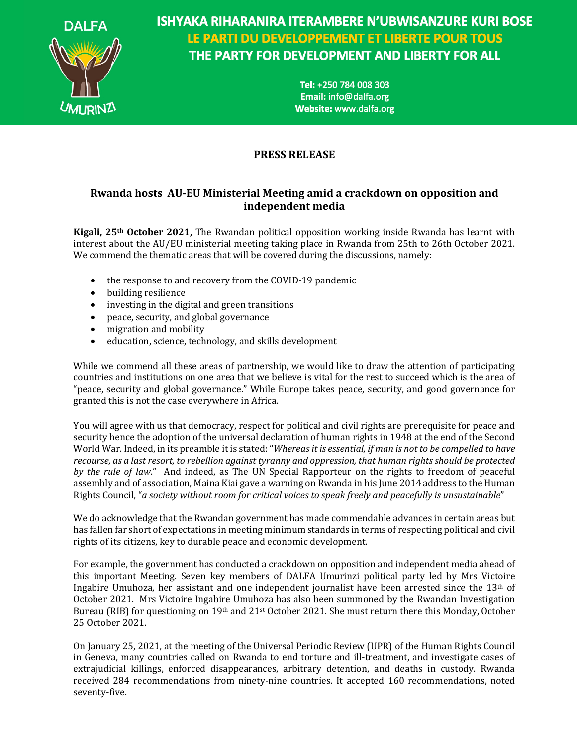

**ISHYAKA RIHARANIRA ITERAMBERE N'UBWISANZURE KURI BOSE** LE PARTI DU DEVELOPPEMENT ET LIBERTE POUR TOUS THE PARTY FOR DEVELOPMENT AND LIBERTY FOR ALL

> Tel: +250 784 008 303 Email: info@dalfa.org Website: www.dalfa.org

## **PRESS RELEASE**

## **Rwanda hosts AU-EU Ministerial Meeting amid a crackdown on opposition and independent media**

**Kigali, 25<sup>th</sup> October 2021,** The Rwandan political opposition working inside Rwanda has learnt with interest about the AU/EU ministerial meeting taking place in Rwanda from 25th to 26th October 2021. We commend the thematic areas that will be covered during the discussions, namely:

- the response to and recovery from the COVID-19 pandemic
- building resilience
- investing in the digital and green transitions
- peace, security, and global governance
- migration and mobility
- education, science, technology, and skills development

While we commend all these areas of partnership, we would like to draw the attention of participating countries and institutions on one area that we believe is vital for the rest to succeed which is the area of "peace, security and global governance." While Europe takes peace, security, and good governance for granted this is not the case everywhere in Africa.

You will agree with us that democracy, respect for political and civil rights are prerequisite for peace and security hence the adoption of the universal declaration of human rights in 1948 at the end of the Second World War. Indeed, in its preamble it is stated: "Whereas *it is essential, if man is not to be compelled to have recourse, as a last resort, to rebellion against tyranny and oppression, that human rights should be protected by* the rule of law." And indeed, as The UN Special Rapporteur on the rights to freedom of peaceful assembly and of association, Maina Kiai gave a warning on Rwanda in his June 2014 address to the Human Rights Council, "*a society without room for critical voices to speak freely and peacefully is unsustainable*"

We do acknowledge that the Rwandan government has made commendable advances in certain areas but has fallen far short of expectations in meeting minimum standards in terms of respecting political and civil rights of its citizens, key to durable peace and economic development.

For example, the government has conducted a crackdown on opposition and independent media ahead of this important Meeting. Seven key members of DALFA Umurinzi political party led by Mrs Victoire Ingabire Umuhoza, her assistant and one independent journalist have been arrested since the  $13<sup>th</sup>$  of October 2021. Mrs Victoire Ingabire Umuhoza has also been summoned by the Rwandan Investigation Bureau (RIB) for questioning on 19<sup>th</sup> and 21<sup>st</sup> October 2021. She must return there this Monday, October 25 October 2021.

On January 25, 2021, at the meeting of the Universal Periodic Review (UPR) of the Human Rights Council in Geneva, many countries called on Rwanda to end torture and ill-treatment, and investigate cases of extrajudicial killings, enforced disappearances, arbitrary detention, and deaths in custody. Rwanda received 284 recommendations from ninety-nine countries. It accepted 160 recommendations, noted seventy-five.